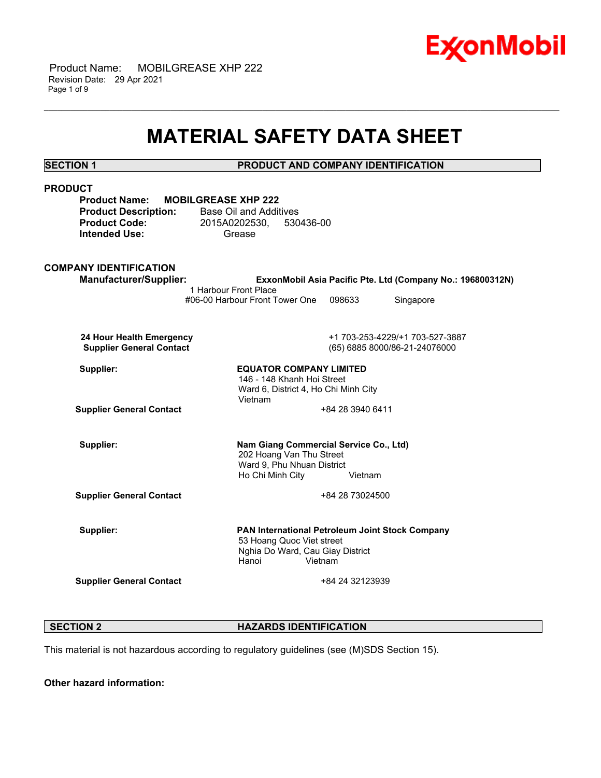

 Product Name: MOBILGREASE XHP 222 Revision Date: 29 Apr 2021 Page 1 of 9

# **MATERIAL SAFETY DATA SHEET**

\_\_\_\_\_\_\_\_\_\_\_\_\_\_\_\_\_\_\_\_\_\_\_\_\_\_\_\_\_\_\_\_\_\_\_\_\_\_\_\_\_\_\_\_\_\_\_\_\_\_\_\_\_\_\_\_\_\_\_\_\_\_\_\_\_\_\_\_\_\_\_\_\_\_\_\_\_\_\_\_\_\_\_\_\_\_\_\_\_\_\_\_\_\_\_\_\_\_\_\_\_\_\_\_\_\_\_\_\_\_\_\_\_\_\_\_\_\_

**SECTION 1 PRODUCT AND COMPANY IDENTIFICATION**

| <b>PRODUCT</b><br><b>Product Name:</b>                                      |                                                                                                                                      |                  |                                                            |  |
|-----------------------------------------------------------------------------|--------------------------------------------------------------------------------------------------------------------------------------|------------------|------------------------------------------------------------|--|
| <b>Product Description:</b><br><b>Product Code:</b><br><b>Intended Use:</b> | <b>MOBILGREASE XHP 222</b><br><b>Base Oil and Additives</b><br>2015A0202530, 530436-00<br>Grease                                     |                  |                                                            |  |
| <b>COMPANY IDENTIFICATION</b>                                               |                                                                                                                                      |                  |                                                            |  |
| <b>Manufacturer/Supplier:</b>                                               | 1 Harbour Front Place                                                                                                                |                  | ExxonMobil Asia Pacific Pte. Ltd (Company No.: 196800312N) |  |
|                                                                             | #06-00 Harbour Front Tower One                                                                                                       | 098633           | Singapore                                                  |  |
| 24 Hour Health Emergency                                                    |                                                                                                                                      |                  | +1 703-253-4229/+1 703-527-3887                            |  |
| <b>Supplier General Contact</b>                                             |                                                                                                                                      |                  | (65) 6885 8000/86-21-24076000                              |  |
| Supplier:                                                                   | <b>EQUATOR COMPANY LIMITED</b><br>146 - 148 Khanh Hoi Street<br>Ward 6, District 4, Ho Chi Minh City                                 |                  |                                                            |  |
|                                                                             | Vietnam                                                                                                                              |                  |                                                            |  |
| <b>Supplier General Contact</b>                                             |                                                                                                                                      | +84 28 3940 6411 |                                                            |  |
| Supplier:                                                                   | Nam Giang Commercial Service Co., Ltd)<br>202 Hoang Van Thu Street<br>Ward 9, Phu Nhuan District<br>Ho Chi Minh City                 | Vietnam          |                                                            |  |
| <b>Supplier General Contact</b>                                             |                                                                                                                                      | +84 28 73024500  |                                                            |  |
| Supplier:                                                                   | PAN International Petroleum Joint Stock Company<br>53 Hoang Quoc Viet street<br>Nghia Do Ward, Cau Giay District<br>Hanoi<br>Vietnam |                  |                                                            |  |
| <b>Supplier General Contact</b>                                             |                                                                                                                                      | +84 24 32123939  |                                                            |  |
|                                                                             |                                                                                                                                      |                  |                                                            |  |

**SECTION 2 HAZARDS IDENTIFICATION** 

This material is not hazardous according to regulatory guidelines (see (M)SDS Section 15).

**Other hazard information:**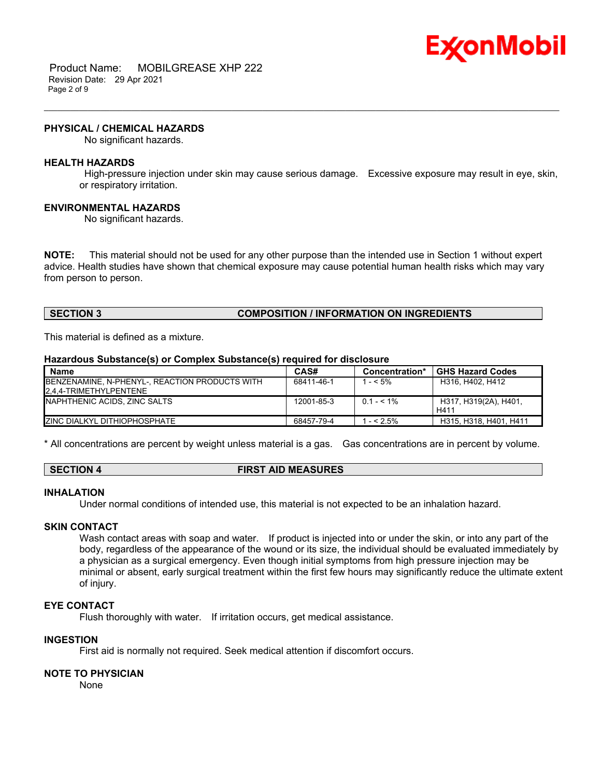

 Product Name: MOBILGREASE XHP 222 Revision Date: 29 Apr 2021 Page 2 of 9

#### **PHYSICAL / CHEMICAL HAZARDS**

No significant hazards.

#### **HEALTH HAZARDS**

 High-pressure injection under skin may cause serious damage. Excessive exposure may result in eye, skin, or respiratory irritation.

\_\_\_\_\_\_\_\_\_\_\_\_\_\_\_\_\_\_\_\_\_\_\_\_\_\_\_\_\_\_\_\_\_\_\_\_\_\_\_\_\_\_\_\_\_\_\_\_\_\_\_\_\_\_\_\_\_\_\_\_\_\_\_\_\_\_\_\_\_\_\_\_\_\_\_\_\_\_\_\_\_\_\_\_\_\_\_\_\_\_\_\_\_\_\_\_\_\_\_\_\_\_\_\_\_\_\_\_\_\_\_\_\_\_\_\_\_\_

#### **ENVIRONMENTAL HAZARDS**

No significant hazards.

**NOTE:** This material should not be used for any other purpose than the intended use in Section 1 without expert advice. Health studies have shown that chemical exposure may cause potential human health risks which may vary from person to person.

# **SECTION 3 COMPOSITION / INFORMATION ON INGREDIENTS**

This material is defined as a mixture.

#### **Hazardous Substance(s) or Complex Substance(s) required for disclosure**

| <b>Name</b>                                    | CAS#       | Concentration* | <b>GHS Hazard Codes</b> |
|------------------------------------------------|------------|----------------|-------------------------|
| BENZENAMINE, N-PHENYL-, REACTION PRODUCTS WITH | 68411-46-1 | $- < 5\%$      | H316, H402, H412        |
| 2.4.4-TRIMETHYLPENTENE                         |            |                |                         |
| INAPHTHENIC ACIDS. ZINC SALTS                  | 12001-85-3 | $0.1 - 5.1\%$  | H317, H319(2A), H401,   |
|                                                |            |                | H411                    |
| <b>IZINC DIALKYL DITHIOPHOSPHATE</b>           | 68457-79-4 | $-52.5\%$      | H315, H318, H401, H411  |

\* All concentrations are percent by weight unless material is a gas. Gas concentrations are in percent by volume.

| <b>FIRST AID MEASURES</b><br>SECTION 4 |  |
|----------------------------------------|--|
|----------------------------------------|--|

#### **INHALATION**

Under normal conditions of intended use, this material is not expected to be an inhalation hazard.

#### **SKIN CONTACT**

Wash contact areas with soap and water. If product is injected into or under the skin, or into any part of the body, regardless of the appearance of the wound or its size, the individual should be evaluated immediately by a physician as a surgical emergency. Even though initial symptoms from high pressure injection may be minimal or absent, early surgical treatment within the first few hours may significantly reduce the ultimate extent of injury.

# **EYE CONTACT**

Flush thoroughly with water. If irritation occurs, get medical assistance.

#### **INGESTION**

First aid is normally not required. Seek medical attention if discomfort occurs.

#### **NOTE TO PHYSICIAN**

None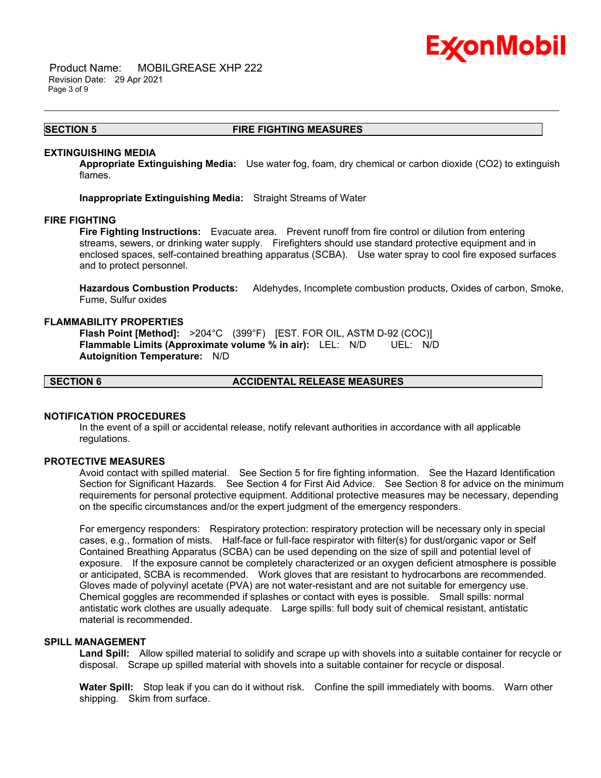

 Product Name: MOBILGREASE XHP 222 Revision Date: 29 Apr 2021 Page 3 of 9

#### **SECTION 5 FIRE FIGHTING MEASURES**

\_\_\_\_\_\_\_\_\_\_\_\_\_\_\_\_\_\_\_\_\_\_\_\_\_\_\_\_\_\_\_\_\_\_\_\_\_\_\_\_\_\_\_\_\_\_\_\_\_\_\_\_\_\_\_\_\_\_\_\_\_\_\_\_\_\_\_\_\_\_\_\_\_\_\_\_\_\_\_\_\_\_\_\_\_\_\_\_\_\_\_\_\_\_\_\_\_\_\_\_\_\_\_\_\_\_\_\_\_\_\_\_\_\_\_\_\_\_

#### **EXTINGUISHING MEDIA**

**Appropriate Extinguishing Media:** Use water fog, foam, dry chemical or carbon dioxide (CO2) to extinguish flames.

**Inappropriate Extinguishing Media:** Straight Streams of Water

#### **FIRE FIGHTING**

**Fire Fighting Instructions:** Evacuate area. Prevent runoff from fire control or dilution from entering streams, sewers, or drinking water supply. Firefighters should use standard protective equipment and in enclosed spaces, self-contained breathing apparatus (SCBA). Use water spray to cool fire exposed surfaces and to protect personnel.

**Hazardous Combustion Products:** Aldehydes, Incomplete combustion products, Oxides of carbon, Smoke, Fume, Sulfur oxides

#### **FLAMMABILITY PROPERTIES**

**Flash Point [Method]:** >204°C (399°F) [EST. FOR OIL, ASTM D-92 (COC)] **Flammable Limits (Approximate volume % in air):** LEL: N/D UEL: N/D **Autoignition Temperature:** N/D

**SECTION 6 ACCIDENTAL RELEASE MEASURES**

### **NOTIFICATION PROCEDURES**

In the event of a spill or accidental release, notify relevant authorities in accordance with all applicable regulations.

#### **PROTECTIVE MEASURES**

Avoid contact with spilled material. See Section 5 for fire fighting information. See the Hazard Identification Section for Significant Hazards. See Section 4 for First Aid Advice. See Section 8 for advice on the minimum requirements for personal protective equipment. Additional protective measures may be necessary, depending on the specific circumstances and/or the expert judgment of the emergency responders.

For emergency responders: Respiratory protection: respiratory protection will be necessary only in special cases, e.g., formation of mists. Half-face or full-face respirator with filter(s) for dust/organic vapor or Self Contained Breathing Apparatus (SCBA) can be used depending on the size of spill and potential level of exposure. If the exposure cannot be completely characterized or an oxygen deficient atmosphere is possible or anticipated, SCBA is recommended. Work gloves that are resistant to hydrocarbons are recommended. Gloves made of polyvinyl acetate (PVA) are not water-resistant and are not suitable for emergency use. Chemical goggles are recommended if splashes or contact with eyes is possible. Small spills: normal antistatic work clothes are usually adequate. Large spills: full body suit of chemical resistant, antistatic material is recommended.

#### **SPILL MANAGEMENT**

**Land Spill:** Allow spilled material to solidify and scrape up with shovels into a suitable container for recycle or disposal. Scrape up spilled material with shovels into a suitable container for recycle or disposal.

**Water Spill:** Stop leak if you can do it without risk. Confine the spill immediately with booms. Warn other shipping. Skim from surface.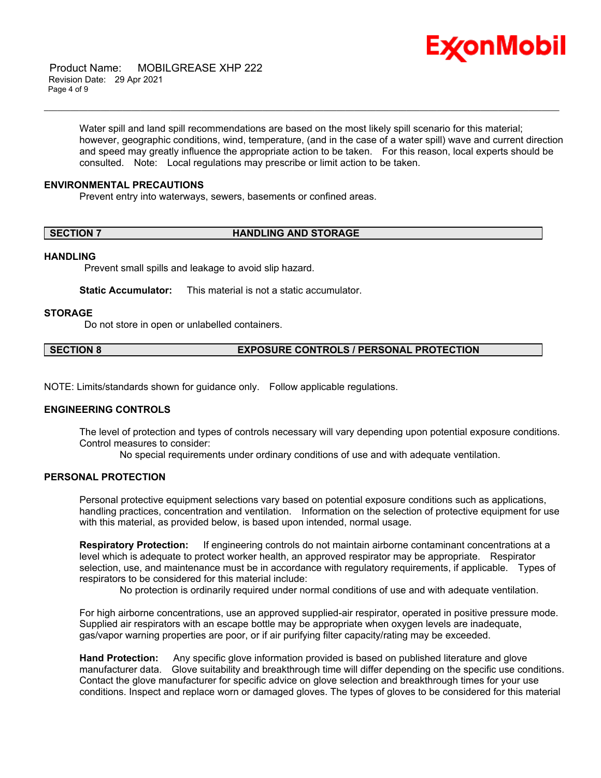

 Product Name: MOBILGREASE XHP 222 Revision Date: 29 Apr 2021 Page 4 of 9

> Water spill and land spill recommendations are based on the most likely spill scenario for this material; however, geographic conditions, wind, temperature, (and in the case of a water spill) wave and current direction and speed may greatly influence the appropriate action to be taken. For this reason, local experts should be consulted. Note: Local regulations may prescribe or limit action to be taken.

\_\_\_\_\_\_\_\_\_\_\_\_\_\_\_\_\_\_\_\_\_\_\_\_\_\_\_\_\_\_\_\_\_\_\_\_\_\_\_\_\_\_\_\_\_\_\_\_\_\_\_\_\_\_\_\_\_\_\_\_\_\_\_\_\_\_\_\_\_\_\_\_\_\_\_\_\_\_\_\_\_\_\_\_\_\_\_\_\_\_\_\_\_\_\_\_\_\_\_\_\_\_\_\_\_\_\_\_\_\_\_\_\_\_\_\_\_\_

#### **ENVIRONMENTAL PRECAUTIONS**

Prevent entry into waterways, sewers, basements or confined areas.

#### **SECTION 7 HANDLING AND STORAGE**

#### **HANDLING**

Prevent small spills and leakage to avoid slip hazard.

**Static Accumulator:** This material is not a static accumulator.

#### **STORAGE**

Do not store in open or unlabelled containers.

#### **SECTION 8 EXPOSURE CONTROLS / PERSONAL PROTECTION**

NOTE: Limits/standards shown for guidance only. Follow applicable regulations.

#### **ENGINEERING CONTROLS**

The level of protection and types of controls necessary will vary depending upon potential exposure conditions. Control measures to consider:

No special requirements under ordinary conditions of use and with adequate ventilation.

# **PERSONAL PROTECTION**

Personal protective equipment selections vary based on potential exposure conditions such as applications, handling practices, concentration and ventilation. Information on the selection of protective equipment for use with this material, as provided below, is based upon intended, normal usage.

**Respiratory Protection:** If engineering controls do not maintain airborne contaminant concentrations at a level which is adequate to protect worker health, an approved respirator may be appropriate. Respirator selection, use, and maintenance must be in accordance with regulatory requirements, if applicable. Types of respirators to be considered for this material include:

No protection is ordinarily required under normal conditions of use and with adequate ventilation.

For high airborne concentrations, use an approved supplied-air respirator, operated in positive pressure mode. Supplied air respirators with an escape bottle may be appropriate when oxygen levels are inadequate, gas/vapor warning properties are poor, or if air purifying filter capacity/rating may be exceeded.

**Hand Protection:** Any specific glove information provided is based on published literature and glove manufacturer data. Glove suitability and breakthrough time will differ depending on the specific use conditions. Contact the glove manufacturer for specific advice on glove selection and breakthrough times for your use conditions. Inspect and replace worn or damaged gloves. The types of gloves to be considered for this material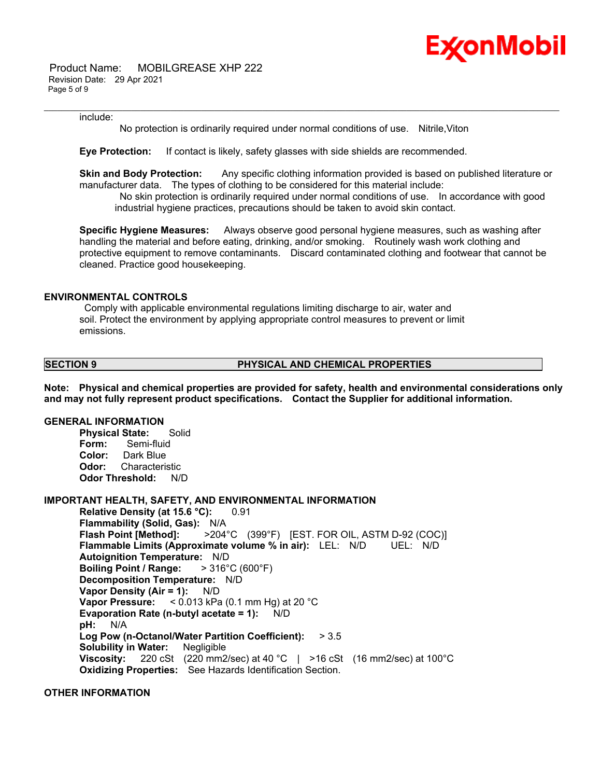

 Product Name: MOBILGREASE XHP 222 Revision Date: 29 Apr 2021 Page 5 of 9

#### include:

No protection is ordinarily required under normal conditions of use. Nitrile,Viton

\_\_\_\_\_\_\_\_\_\_\_\_\_\_\_\_\_\_\_\_\_\_\_\_\_\_\_\_\_\_\_\_\_\_\_\_\_\_\_\_\_\_\_\_\_\_\_\_\_\_\_\_\_\_\_\_\_\_\_\_\_\_\_\_\_\_\_\_\_\_\_\_\_\_\_\_\_\_\_\_\_\_\_\_\_\_\_\_\_\_\_\_\_\_\_\_\_\_\_\_\_\_\_\_\_\_\_\_\_\_\_\_\_\_\_\_\_\_

**Eye Protection:** If contact is likely, safety glasses with side shields are recommended.

**Skin and Body Protection:** Any specific clothing information provided is based on published literature or manufacturer data. The types of clothing to be considered for this material include:

 No skin protection is ordinarily required under normal conditions of use. In accordance with good industrial hygiene practices, precautions should be taken to avoid skin contact.

**Specific Hygiene Measures:** Always observe good personal hygiene measures, such as washing after handling the material and before eating, drinking, and/or smoking. Routinely wash work clothing and protective equipment to remove contaminants. Discard contaminated clothing and footwear that cannot be cleaned. Practice good housekeeping.

## **ENVIRONMENTAL CONTROLS**

 Comply with applicable environmental regulations limiting discharge to air, water and soil. Protect the environment by applying appropriate control measures to prevent or limit emissions.

#### **SECTION 9 PHYSICAL AND CHEMICAL PROPERTIES**

**Note: Physical and chemical properties are provided for safety, health and environmental considerations only and may not fully represent product specifications. Contact the Supplier for additional information.**

# **GENERAL INFORMATION**

**Physical State:** Solid **Form:** Semi-fluid **Color:** Dark Blue **Odor:** Characteristic **Odor Threshold:** N/D

#### **IMPORTANT HEALTH, SAFETY, AND ENVIRONMENTAL INFORMATION**

**Relative Density (at 15.6 °C):** 0.91 **Flammability (Solid, Gas):** N/A **Flash Point [Method]:** >204°C (399°F) [EST. FOR OIL, ASTM D-92 (COC)] **Flammable Limits (Approximate volume % in air):** LEL: N/D UEL: N/D **Autoignition Temperature:** N/D **Boiling Point / Range:** > 316°C (600°F) **Decomposition Temperature:** N/D **Vapor Density (Air = 1):** N/D **Vapor Pressure:** < 0.013 kPa (0.1 mm Hg) at 20 °C **Evaporation Rate (n-butyl acetate = 1):** N/D **pH:** N/A **Log Pow (n-Octanol/Water Partition Coefficient):** > 3.5 **Solubility in Water:** Negligible **Viscosity:** 220 cSt (220 mm2/sec) at 40 °C | >16 cSt (16 mm2/sec) at 100°C **Oxidizing Properties:** See Hazards Identification Section.

#### **OTHER INFORMATION**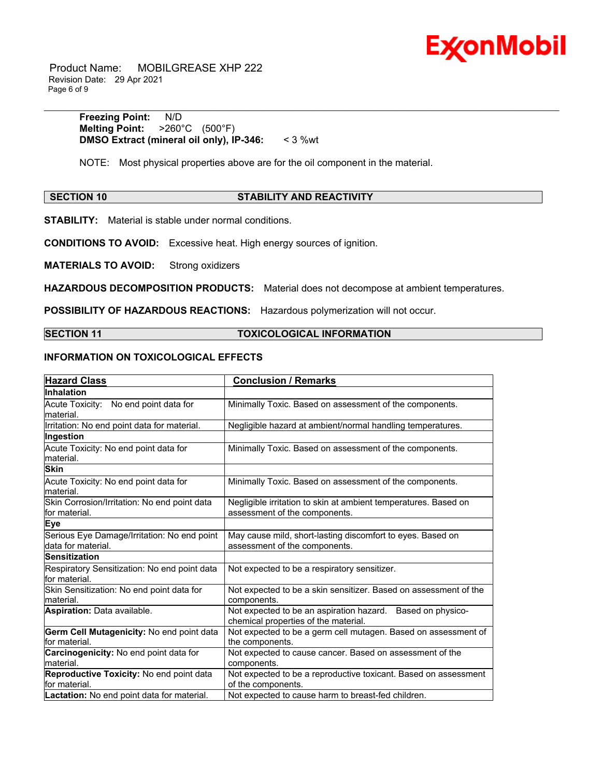

 Product Name: MOBILGREASE XHP 222 Revision Date: 29 Apr 2021 Page 6 of 9

> **Freezing Point:** N/D **Melting Point:** >260°C (500°F) **DMSO Extract (mineral oil only), IP-346:** < 3 %wt

NOTE: Most physical properties above are for the oil component in the material.

# **SECTION 10 STABILITY AND REACTIVITY**

\_\_\_\_\_\_\_\_\_\_\_\_\_\_\_\_\_\_\_\_\_\_\_\_\_\_\_\_\_\_\_\_\_\_\_\_\_\_\_\_\_\_\_\_\_\_\_\_\_\_\_\_\_\_\_\_\_\_\_\_\_\_\_\_\_\_\_\_\_\_\_\_\_\_\_\_\_\_\_\_\_\_\_\_\_\_\_\_\_\_\_\_\_\_\_\_\_\_\_\_\_\_\_\_\_\_\_\_\_\_\_\_\_\_\_\_\_\_

**STABILITY:** Material is stable under normal conditions.

**CONDITIONS TO AVOID:** Excessive heat. High energy sources of ignition.

**MATERIALS TO AVOID:** Strong oxidizers

**HAZARDOUS DECOMPOSITION PRODUCTS:** Material does not decompose at ambient temperatures.

**POSSIBILITY OF HAZARDOUS REACTIONS:** Hazardous polymerization will not occur.

# **SECTION 11 TOXICOLOGICAL INFORMATION**

#### **INFORMATION ON TOXICOLOGICAL EFFECTS**

| <b>Hazard Class</b>                                               | <b>Conclusion / Remarks</b>                                                                        |  |
|-------------------------------------------------------------------|----------------------------------------------------------------------------------------------------|--|
| Inhalation                                                        |                                                                                                    |  |
| Acute Toxicity: No end point data for<br>lmaterial.               | Minimally Toxic. Based on assessment of the components.                                            |  |
| Irritation: No end point data for material.                       | Negligible hazard at ambient/normal handling temperatures.                                         |  |
| Ingestion                                                         |                                                                                                    |  |
| Acute Toxicity: No end point data for<br>Imaterial.               | Minimally Toxic. Based on assessment of the components.                                            |  |
| <b>Skin</b>                                                       |                                                                                                    |  |
| Acute Toxicity: No end point data for<br>lmaterial.               | Minimally Toxic. Based on assessment of the components.                                            |  |
| Skin Corrosion/Irritation: No end point data<br>lfor material.    | Negligible irritation to skin at ambient temperatures. Based on<br>assessment of the components.   |  |
| Eye                                                               |                                                                                                    |  |
| Serious Eye Damage/Irritation: No end point<br>data for material. | May cause mild, short-lasting discomfort to eyes. Based on<br>assessment of the components.        |  |
| <b>Sensitization</b>                                              |                                                                                                    |  |
| Respiratory Sensitization: No end point data<br>for material.     | Not expected to be a respiratory sensitizer.                                                       |  |
| Skin Sensitization: No end point data for<br>lmaterial.           | Not expected to be a skin sensitizer. Based on assessment of the<br>components.                    |  |
| Aspiration: Data available.                                       | Not expected to be an aspiration hazard. Based on physico-<br>chemical properties of the material. |  |
| Germ Cell Mutagenicity: No end point data<br>lfor material.       | Not expected to be a germ cell mutagen. Based on assessment of<br>the components.                  |  |
| Carcinogenicity: No end point data for<br>lmaterial.              | Not expected to cause cancer. Based on assessment of the<br>components.                            |  |
| Reproductive Toxicity: No end point data<br>lfor material.        | Not expected to be a reproductive toxicant. Based on assessment<br>of the components.              |  |
| <b>Lactation:</b> No end point data for material.                 | Not expected to cause harm to breast-fed children.                                                 |  |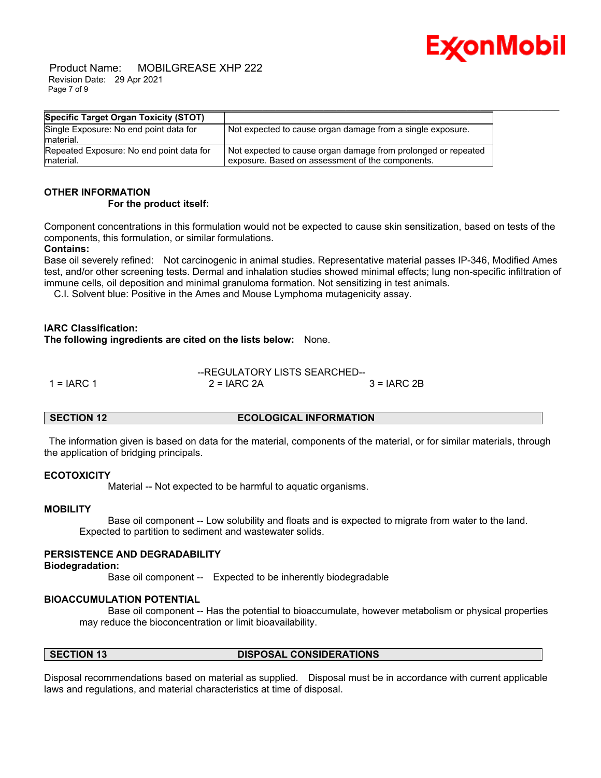

 Product Name: MOBILGREASE XHP 222 Revision Date: 29 Apr 2021 Page 7 of 9

| Specific Target Organ Toxicity (STOT)                 |                                                                                                                   |
|-------------------------------------------------------|-------------------------------------------------------------------------------------------------------------------|
| Single Exposure: No end point data for<br>material.   | Not expected to cause organ damage from a single exposure.                                                        |
| Repeated Exposure: No end point data for<br>material. | Not expected to cause organ damage from prolonged or repeated<br>exposure. Based on assessment of the components. |

# **OTHER INFORMATION**

#### **For the product itself:**

Component concentrations in this formulation would not be expected to cause skin sensitization, based on tests of the components, this formulation, or similar formulations.

## **Contains:**

Base oil severely refined: Not carcinogenic in animal studies. Representative material passes IP-346, Modified Ames test, and/or other screening tests. Dermal and inhalation studies showed minimal effects; lung non-specific infiltration of immune cells, oil deposition and minimal granuloma formation. Not sensitizing in test animals.

C.I. Solvent blue: Positive in the Ames and Mouse Lymphoma mutagenicity assay.

## **IARC Classification:**

**The following ingredients are cited on the lists below:** None.

|              | --REGULATORY LISTS SEARCHED-- |              |  |
|--------------|-------------------------------|--------------|--|
| 1 = $IARC 1$ | $2 = IARC 2A$                 | $3 = IARC2B$ |  |

## **SECTION 12 ECOLOGICAL INFORMATION**

 The information given is based on data for the material, components of the material, or for similar materials, through the application of bridging principals.

#### **ECOTOXICITY**

Material -- Not expected to be harmful to aquatic organisms.

#### **MOBILITY**

 Base oil component -- Low solubility and floats and is expected to migrate from water to the land. Expected to partition to sediment and wastewater solids.

# **PERSISTENCE AND DEGRADABILITY**

**Biodegradation:**

Base oil component -- Expected to be inherently biodegradable

# **BIOACCUMULATION POTENTIAL**

 Base oil component -- Has the potential to bioaccumulate, however metabolism or physical properties may reduce the bioconcentration or limit bioavailability.

# **SECTION 13 DISPOSAL CONSIDERATIONS**

Disposal recommendations based on material as supplied. Disposal must be in accordance with current applicable laws and regulations, and material characteristics at time of disposal.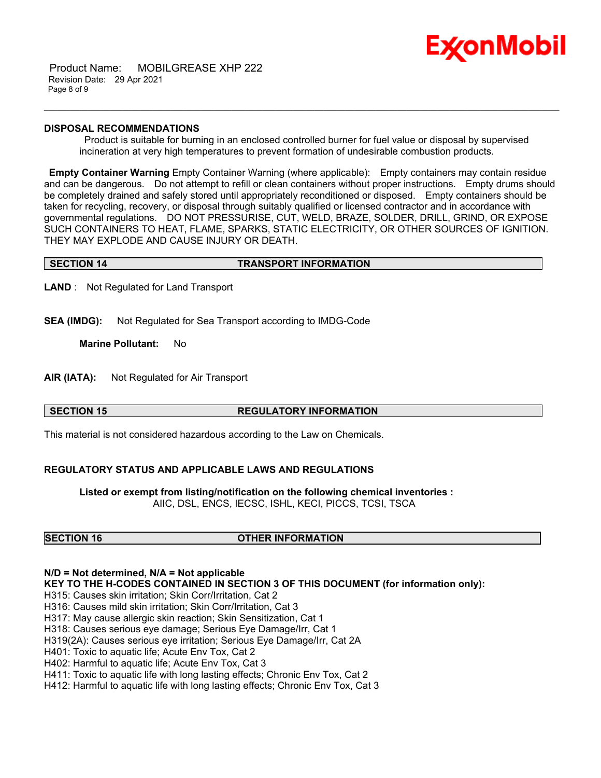

 Product Name: MOBILGREASE XHP 222 Revision Date: 29 Apr 2021 Page 8 of 9

#### **DISPOSAL RECOMMENDATIONS**

 Product is suitable for burning in an enclosed controlled burner for fuel value or disposal by supervised incineration at very high temperatures to prevent formation of undesirable combustion products.

\_\_\_\_\_\_\_\_\_\_\_\_\_\_\_\_\_\_\_\_\_\_\_\_\_\_\_\_\_\_\_\_\_\_\_\_\_\_\_\_\_\_\_\_\_\_\_\_\_\_\_\_\_\_\_\_\_\_\_\_\_\_\_\_\_\_\_\_\_\_\_\_\_\_\_\_\_\_\_\_\_\_\_\_\_\_\_\_\_\_\_\_\_\_\_\_\_\_\_\_\_\_\_\_\_\_\_\_\_\_\_\_\_\_\_\_\_\_

**Empty Container Warning** Empty Container Warning (where applicable): Empty containers may contain residue and can be dangerous. Do not attempt to refill or clean containers without proper instructions. Empty drums should be completely drained and safely stored until appropriately reconditioned or disposed. Empty containers should be taken for recycling, recovery, or disposal through suitably qualified or licensed contractor and in accordance with governmental regulations. DO NOT PRESSURISE, CUT, WELD, BRAZE, SOLDER, DRILL, GRIND, OR EXPOSE SUCH CONTAINERS TO HEAT, FLAME, SPARKS, STATIC ELECTRICITY, OR OTHER SOURCES OF IGNITION. THEY MAY EXPLODE AND CAUSE INJURY OR DEATH.

#### **SECTION 14 TRANSPORT INFORMATION**

**LAND** : Not Regulated for Land Transport

**SEA (IMDG):** Not Regulated for Sea Transport according to IMDG-Code

**Marine Pollutant:** No

**AIR (IATA):** Not Regulated for Air Transport

# **SECTION 15 REGULATORY INFORMATION**

This material is not considered hazardous according to the Law on Chemicals.

## **REGULATORY STATUS AND APPLICABLE LAWS AND REGULATIONS**

**Listed or exempt from listing/notification on the following chemical inventories :**  AIIC, DSL, ENCS, IECSC, ISHL, KECI, PICCS, TCSI, TSCA

# **SECTION 16 OTHER INFORMATION**

## **N/D = Not determined, N/A = Not applicable**

**KEY TO THE H-CODES CONTAINED IN SECTION 3 OF THIS DOCUMENT (for information only):**

H315: Causes skin irritation; Skin Corr/Irritation, Cat 2

H316: Causes mild skin irritation; Skin Corr/Irritation, Cat 3

H317: May cause allergic skin reaction; Skin Sensitization, Cat 1

H318: Causes serious eye damage; Serious Eye Damage/Irr, Cat 1

H319(2A): Causes serious eye irritation; Serious Eye Damage/Irr, Cat 2A

H401: Toxic to aquatic life; Acute Env Tox, Cat 2

H402: Harmful to aquatic life; Acute Env Tox, Cat 3

H411: Toxic to aquatic life with long lasting effects; Chronic Env Tox, Cat 2

H412: Harmful to aquatic life with long lasting effects; Chronic Env Tox, Cat 3